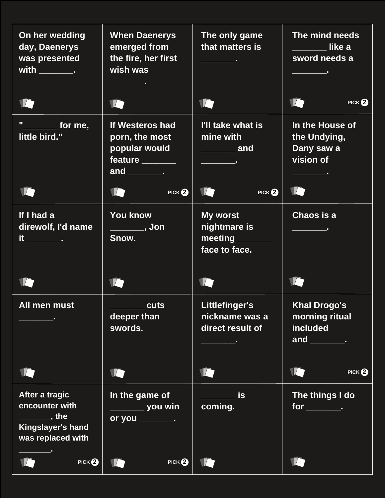| On her wedding<br>day, Daenerys<br>was presented                                                     | <b>When Daenerys</b><br>emerged from<br>the fire, her first<br>wish was                                                | The only game<br>that matters is<br><u> Alban Maria</u>                                           | The mind needs<br>like a<br>sword needs a<br>$\overline{\phantom{a}}$                  |
|------------------------------------------------------------------------------------------------------|------------------------------------------------------------------------------------------------------------------------|---------------------------------------------------------------------------------------------------|----------------------------------------------------------------------------------------|
|                                                                                                      |                                                                                                                        | I)                                                                                                | PICK $\boldsymbol{2}$                                                                  |
| п.<br>for me,<br>little bird."                                                                       | If Westeros had<br>porn, the most<br>popular would<br>feature _______<br>and $\qquad$ .<br>ID<br>PICK $\boldsymbol{2}$ | I'll take what is<br>mine with<br>$\overline{\phantom{a}}$<br>$\mathbb{Z}$<br>$PICK$ <sup>2</sup> | In the House of<br>the Undying,<br>Dany saw a<br>vision of<br><b>Contract Contract</b> |
| If I had a<br>direwolf, I'd name                                                                     | <b>You know</b><br>$\frac{1}{\sqrt{2}}$ , Jon<br>Snow.                                                                 | My worst<br>nightmare is<br>meeting<br>face to face.                                              | Chaos is a                                                                             |
|                                                                                                      |                                                                                                                        |                                                                                                   |                                                                                        |
| All men must                                                                                         | <b>cuts</b><br>deeper than<br>swords.                                                                                  | Littlefinger's<br>nickname was a<br>direct result of                                              | <b>Khal Drogo's</b><br>morning ritual<br>included ______<br>and ________.              |
|                                                                                                      |                                                                                                                        |                                                                                                   | PICK $\boldsymbol{2}$                                                                  |
| After a tragic<br>encounter with<br><u>_________</u> , the<br>Kingslayer's hand<br>was replaced with | In the game of<br>______ you win<br>or you __________                                                                  | <b>is</b><br>coming.                                                                              | The things I do<br>$for \_\_$                                                          |
| $PICK$ <sup>2</sup>                                                                                  | $PICK$ <sup>2</sup>                                                                                                    |                                                                                                   |                                                                                        |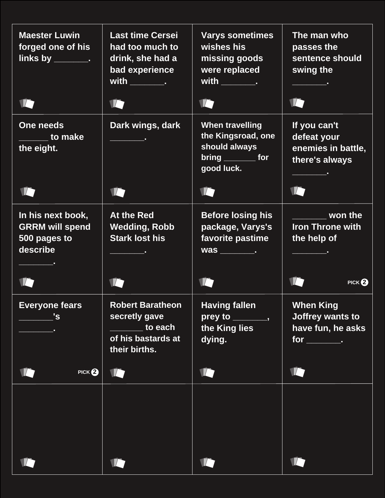| <b>Maester Luwin</b><br>forged one of his<br>links by ________.         | <b>Last time Cersei</b><br>had too much to<br>drink, she had a<br>bad experience<br>with ___________ | <b>Varys sometimes</b><br>wishes his<br>missing goods<br>were replaced<br>with $\qquad \qquad$ .<br>IA.                                                                                                                                                                                            | The man who<br>passes the<br>sentence should<br>swing the               |
|-------------------------------------------------------------------------|------------------------------------------------------------------------------------------------------|----------------------------------------------------------------------------------------------------------------------------------------------------------------------------------------------------------------------------------------------------------------------------------------------------|-------------------------------------------------------------------------|
|                                                                         |                                                                                                      |                                                                                                                                                                                                                                                                                                    |                                                                         |
| One needs<br><b>COLLEGE</b> to make<br>the eight.                       | Dark wings, dark                                                                                     | <b>When travelling</b><br>the Kingsroad, one<br>should always<br>$bring$ for<br>good luck.                                                                                                                                                                                                         | If you can't<br>defeat your<br>enemies in battle,<br>there's always     |
|                                                                         |                                                                                                      |                                                                                                                                                                                                                                                                                                    |                                                                         |
| In his next book,<br><b>GRRM will spend</b><br>500 pages to<br>describe | At the Red<br><b>Wedding, Robb</b><br><b>Stark lost his</b>                                          | <b>Before losing his</b><br>package, Varys's<br>favorite pastime                                                                                                                                                                                                                                   | won the<br><b>Iron Throne with</b><br>the help of                       |
|                                                                         |                                                                                                      |                                                                                                                                                                                                                                                                                                    | $PICK$ <sup>2</sup>                                                     |
| <b>Everyone fears</b><br>'s                                             | <b>Robert Baratheon</b><br>secretly gave<br>to each<br>of his bastards at<br>their births.           | <b>Having fallen</b><br>prey to<br><u>in the contract of the contract of the contract of the contract of the contract of the contract of the contract of the contract of the contract of the contract of the contract of the contract of the contract of the contra</u><br>the King lies<br>dying. | <b>When King</b><br>Joffrey wants to<br>have fun, he asks<br>$for \_\_$ |
| $PICK$ <sup>2</sup>                                                     | $\mathcal{I}$                                                                                        | 10                                                                                                                                                                                                                                                                                                 |                                                                         |
|                                                                         |                                                                                                      |                                                                                                                                                                                                                                                                                                    |                                                                         |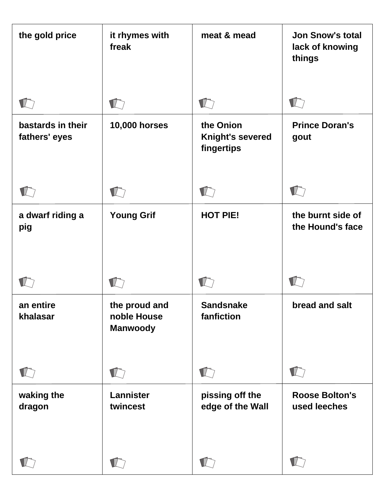| the gold price                     | it rhymes with<br>freak                         | meat & mead                                        | <b>Jon Snow's total</b><br>lack of knowing<br>things |
|------------------------------------|-------------------------------------------------|----------------------------------------------------|------------------------------------------------------|
|                                    |                                                 |                                                    |                                                      |
| bastards in their<br>fathers' eyes | <b>10,000 horses</b>                            | the Onion<br><b>Knight's severed</b><br>fingertips | <b>Prince Doran's</b><br>gout                        |
|                                    |                                                 |                                                    |                                                      |
| a dwarf riding a<br>pig            | <b>Young Grif</b>                               | <b>HOT PIE!</b>                                    | the burnt side of<br>the Hound's face                |
|                                    |                                                 |                                                    |                                                      |
| an entire<br>khalasar              | the proud and<br>noble House<br><b>Manwoody</b> | <b>Sandsnake</b><br>fanfiction                     | bread and salt                                       |
|                                    |                                                 | $\Gamma$                                           |                                                      |
| waking the<br>dragon               | Lannister<br>twincest                           | pissing off the<br>edge of the Wall                | <b>Roose Bolton's</b><br>used leeches                |
|                                    |                                                 | $\sqrt{2}$                                         |                                                      |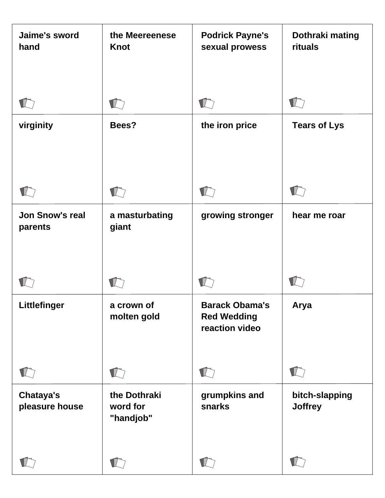| Jaime's sword<br>hand              | the Meereenese<br><b>Knot</b>         | <b>Podrick Payne's</b><br>sexual prowess                      | Dothraki mating<br>rituals       |
|------------------------------------|---------------------------------------|---------------------------------------------------------------|----------------------------------|
|                                    |                                       |                                                               |                                  |
| virginity                          | Bees?                                 | the iron price                                                | <b>Tears of Lys</b>              |
|                                    |                                       |                                                               |                                  |
| <b>Jon Snow's real</b><br>parents  | a masturbating<br>giant               | growing stronger                                              | hear me roar                     |
|                                    |                                       |                                                               |                                  |
| Littlefinger                       | a crown of<br>molten gold             | <b>Barack Obama's</b><br><b>Red Wedding</b><br>reaction video | Arya                             |
|                                    | $\blacksquare$                        | $\blacksquare$                                                |                                  |
| <b>Chataya's</b><br>pleasure house | the Dothraki<br>word for<br>"handjob" | grumpkins and<br>snarks                                       | bitch-slapping<br><b>Joffrey</b> |
|                                    |                                       |                                                               |                                  |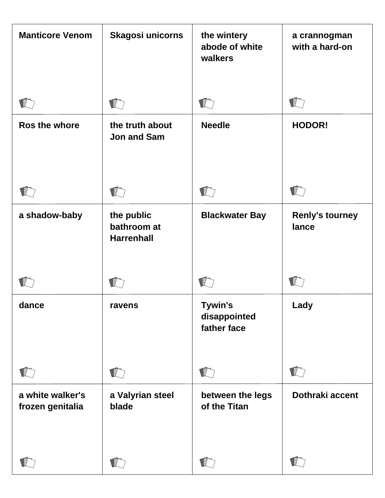| <b>Manticore Venom</b>               | <b>Skagosi unicorns</b>                        | the wintery<br>abode of white<br>walkers      | a crannogman<br>with a hard-on  |
|--------------------------------------|------------------------------------------------|-----------------------------------------------|---------------------------------|
|                                      |                                                |                                               |                                 |
| Ros the whore                        | the truth about<br><b>Jon and Sam</b>          | <b>Needle</b>                                 | <b>HODOR!</b>                   |
|                                      | $\mathbb{Z}$                                   |                                               |                                 |
| a shadow-baby                        | the public<br>bathroom at<br><b>Harrenhall</b> | <b>Blackwater Bay</b>                         | <b>Renly's tourney</b><br>lance |
|                                      |                                                |                                               |                                 |
| dance                                | ravens                                         | <b>Tywin's</b><br>disappointed<br>father face | Lady                            |
|                                      |                                                | $\blacksquare$                                |                                 |
| a white walker's<br>frozen genitalia | a Valyrian steel<br>blade                      | between the legs<br>of the Titan              | Dothraki accent                 |
|                                      |                                                |                                               |                                 |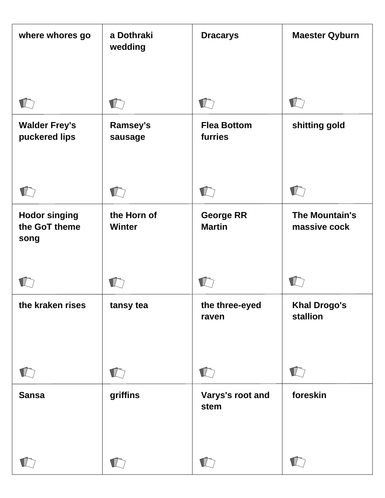| where whores go                               | a Dothraki<br>wedding      | <b>Dracarys</b>                   | <b>Maester Qyburn</b>           |
|-----------------------------------------------|----------------------------|-----------------------------------|---------------------------------|
|                                               |                            |                                   |                                 |
| <b>Walder Frey's</b><br>puckered lips         | <b>Ramsey's</b><br>sausage | <b>Flea Bottom</b><br>furries     | shitting gold                   |
|                                               |                            |                                   |                                 |
| <b>Hodor singing</b><br>the GoT theme<br>song | the Horn of<br>Winter      | <b>George RR</b><br><b>Martin</b> | The Mountain's<br>massive cock  |
|                                               |                            |                                   |                                 |
| the kraken rises                              | tansy tea                  | the three-eyed<br>raven           | <b>Khal Drogo's</b><br>stallion |
|                                               | $\sqrt{2}$                 | $\Gamma$                          |                                 |
| <b>Sansa</b>                                  | griffins                   | Varys's root and<br>stem          | foreskin                        |
|                                               | $\Gamma$                   | $\sqrt{2}$                        |                                 |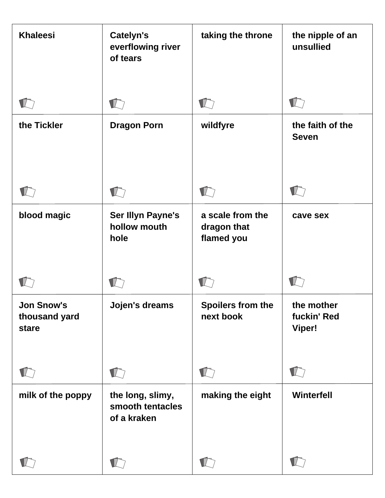| <b>Khaleesi</b>                             | <b>Catelyn's</b><br>everflowing river<br>of tears   | taking the throne                             | the nipple of an<br>unsullied              |
|---------------------------------------------|-----------------------------------------------------|-----------------------------------------------|--------------------------------------------|
|                                             |                                                     |                                               |                                            |
| the Tickler                                 | <b>Dragon Porn</b>                                  | wildfyre                                      | the faith of the<br><b>Seven</b>           |
|                                             |                                                     |                                               |                                            |
| blood magic                                 | <b>Ser Illyn Payne's</b><br>hollow mouth<br>hole    | a scale from the<br>dragon that<br>flamed you | cave sex                                   |
|                                             |                                                     |                                               |                                            |
| <b>Jon Snow's</b><br>thousand yard<br>stare | Jojen's dreams                                      | Spoilers from the<br>next book                | the mother<br>fuckin' Red<br><b>Viper!</b> |
|                                             |                                                     | $\blacksquare/\ulacksquare$                   |                                            |
| milk of the poppy                           | the long, slimy,<br>smooth tentacles<br>of a kraken | making the eight                              | Winterfell                                 |
|                                             |                                                     |                                               |                                            |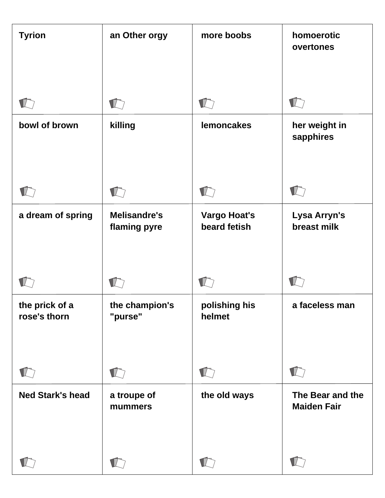| <b>Tyrion</b>                  | an Other orgy                       | more boobs                          | homoerotic<br>overtones                |
|--------------------------------|-------------------------------------|-------------------------------------|----------------------------------------|
|                                |                                     |                                     |                                        |
| bowl of brown                  | killing                             | <b>lemoncakes</b>                   | her weight in<br>sapphires             |
|                                |                                     |                                     |                                        |
| a dream of spring              | <b>Melisandre's</b><br>flaming pyre | <b>Vargo Hoat's</b><br>beard fetish | Lysa Arryn's<br>breast milk            |
|                                |                                     |                                     |                                        |
| the prick of a<br>rose's thorn | the champion's<br>"purse"           | polishing his<br>helmet             | a faceless man                         |
|                                | $\blacksquare$                      | $\Gamma$                            |                                        |
| <b>Ned Stark's head</b>        | a troupe of<br>mummers              | the old ways                        | The Bear and the<br><b>Maiden Fair</b> |
|                                |                                     | $\blacksquare$                      |                                        |